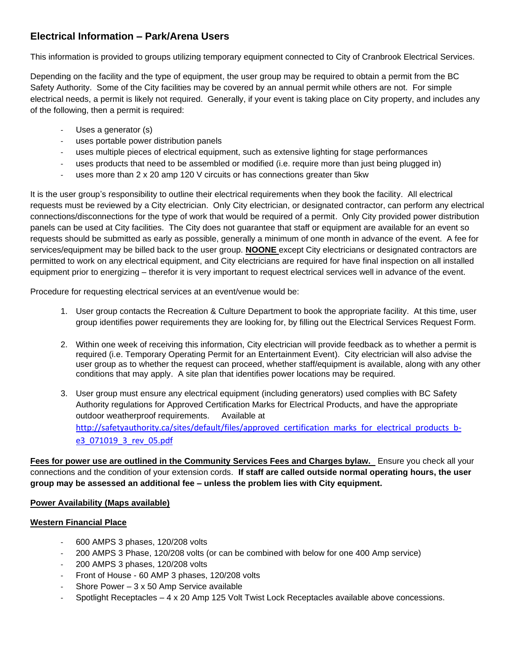# **Electrical Information – Park/Arena Users**

This information is provided to groups utilizing temporary equipment connected to City of Cranbrook Electrical Services.

Depending on the facility and the type of equipment, the user group may be required to obtain a permit from the BC Safety Authority. Some of the City facilities may be covered by an annual permit while others are not. For simple electrical needs, a permit is likely not required. Generally, if your event is taking place on City property, and includes any of the following, then a permit is required:

- Uses a generator (s)
- uses portable power distribution panels
- uses multiple pieces of electrical equipment, such as extensive lighting for stage performances
- uses products that need to be assembled or modified (i.e. require more than just being plugged in)
- uses more than 2 x 20 amp 120 V circuits or has connections greater than 5kw

It is the user group's responsibility to outline their electrical requirements when they book the facility. All electrical requests must be reviewed by a City electrician. Only City electrician, or designated contractor, can perform any electrical connections/disconnections for the type of work that would be required of a permit. Only City provided power distribution panels can be used at City facilities. The City does not guarantee that staff or equipment are available for an event so requests should be submitted as early as possible, generally a minimum of one month in advance of the event. A fee for services/equipment may be billed back to the user group. **NOONE** except City electricians or designated contractors are permitted to work on any electrical equipment, and City electricians are required for have final inspection on all installed equipment prior to energizing – therefor it is very important to request electrical services well in advance of the event.

Procedure for requesting electrical services at an event/venue would be:

- 1. User group contacts the Recreation & Culture Department to book the appropriate facility. At this time, user group identifies power requirements they are looking for, by filling out the Electrical Services Request Form.
- 2. Within one week of receiving this information, City electrician will provide feedback as to whether a permit is required (i.e. Temporary Operating Permit for an Entertainment Event). City electrician will also advise the user group as to whether the request can proceed, whether staff/equipment is available, along with any other conditions that may apply. A site plan that identifies power locations may be required.
- 3. User group must ensure any electrical equipment (including generators) used complies with BC Safety Authority regulations for Approved Certification Marks for Electrical Products, and have the appropriate outdoor weatherproof requirements. Available at http://safetyauthority.ca/sites/default/files/approved certification marks for electrical products b[e3\\_071019\\_3\\_rev\\_05.pdf](http://safetyauthority.ca/sites/default/files/approved_certification_marks_for_electrical_products_b-e3_071019_3_rev_05.pdf)

**Fees for power use are outlined in the Community Services Fees and Charges bylaw.** Ensure you check all your connections and the condition of your extension cords. **If staff are called outside normal operating hours, the user group may be assessed an additional fee – unless the problem lies with City equipment.**

# **Power Availability (Maps available)**

# **Western Financial Place**

- 600 AMPS 3 phases, 120/208 volts
- 200 AMPS 3 Phase, 120/208 volts (or can be combined with below for one 400 Amp service)
- 200 AMPS 3 phases, 120/208 volts
- Front of House 60 AMP 3 phases, 120/208 volts
- Shore Power  $-3 \times 50$  Amp Service available
- Spotlight Receptacles 4 x 20 Amp 125 Volt Twist Lock Receptacles available above concessions.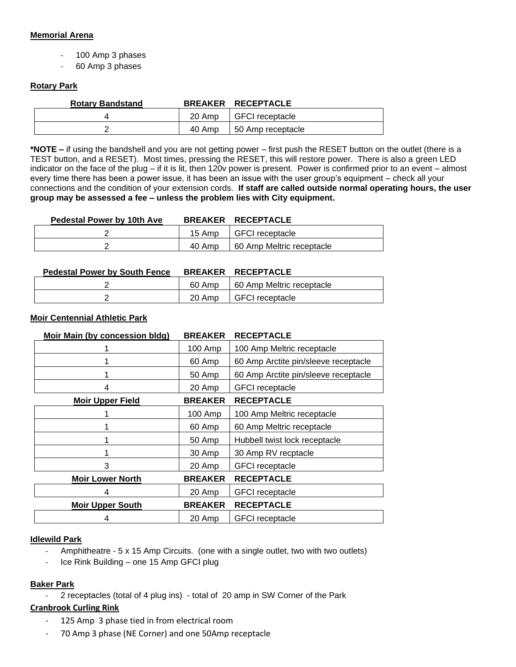### **Memorial Arena**

- 100 Amp 3 phases
- 60 Amp 3 phases

### **Rotary Park**

| <b>Rotary Bandstand</b> |        | <b>BREAKER RECEPTACLE</b> |
|-------------------------|--------|---------------------------|
|                         |        | 20 Amp   GFCI receptacle  |
|                         | 40 Amp | 50 Amp receptacle         |

**\*NOTE –** if using the bandshell and you are not getting power – first push the RESET button on the outlet (there is a TEST button, and a RESET). Most times, pressing the RESET, this will restore power. There is also a green LED indicator on the face of the plug – if it is lit, then 120v power is present. Power is confirmed prior to an event – almost every time there has been a power issue, it has been an issue with the user group's equipment – check all your connections and the condition of your extension cords. **If staff are called outside normal operating hours, the user group may be assessed a fee – unless the problem lies with City equipment.**

| <b>Pedestal Power by 10th Ave</b> |        | BREAKER RECEPTACLE        |
|-----------------------------------|--------|---------------------------|
|                                   | 15 Amp | I GFCI receptacle         |
|                                   | 40 Amp | 60 Amp Meltric receptacle |

| <b>Pedestal Power by South Fence</b> |        | BREAKER RECEPTACLE        |
|--------------------------------------|--------|---------------------------|
|                                      | 60 Amp | 60 Amp Meltric receptacle |
|                                      | 20 Amp | l GFCI receptacle         |

### **Moir Centennial Athletic Park**

| Moir Main (by concession bldg) | <b>BREAKER</b> | <b>RECEPTACLE</b>                    |
|--------------------------------|----------------|--------------------------------------|
|                                | 100 Amp        | 100 Amp Meltric receptacle           |
|                                | 60 Amp         | 60 Amp Arctite pin/sleeve receptacle |
|                                | 50 Amp         | 60 Amp Arctite pin/sleeve receptacle |
| 4                              | 20 Amp         | <b>GFCI</b> receptacle               |
| <b>Moir Upper Field</b>        | <b>BREAKER</b> | <b>RECEPTACLE</b>                    |
|                                | 100 Amp        | 100 Amp Meltric receptacle           |
|                                | 60 Amp         | 60 Amp Meltric receptacle            |
|                                | 50 Amp         | Hubbell twist lock receptacle        |
|                                | 30 Amp         | 30 Amp RV recptacle                  |
| 3                              | 20 Amp         | <b>GFCI</b> receptacle               |
| <b>Moir Lower North</b>        | <b>BREAKER</b> | <b>RECEPTACLE</b>                    |
| 4                              | 20 Amp         | <b>GFCI</b> receptacle               |
| <b>Moir Upper South</b>        | <b>BREAKER</b> | <b>RECEPTACLE</b>                    |
| 4                              | 20 Amp         | <b>GFCI</b> receptacle               |

### **Idlewild Park**

- Amphitheatre 5 x 15 Amp Circuits. (one with a single outlet, two with two outlets)
- Ice Rink Building one 15 Amp GFCI plug

### **Baker Park**

- 2 receptacles (total of 4 plug ins) - total of 20 amp in SW Corner of the Park

# **Cranbrook Curling Rink**

- 125 Amp 3 phase tied in from electrical room
- 70 Amp 3 phase (NE Corner) and one 50Amp receptacle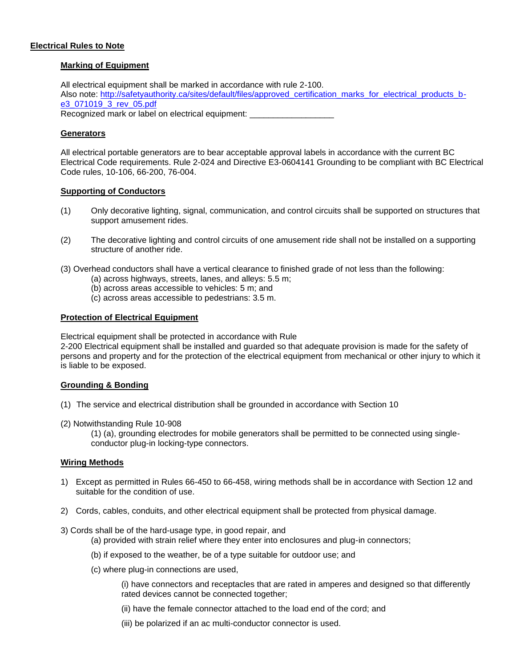### **Electrical Rules to Note**

### **Marking of Equipment**

All electrical equipment shall be marked in accordance with rule 2-100. Also note: [http://safetyauthority.ca/sites/default/files/approved\\_certification\\_marks\\_for\\_electrical\\_products\\_b](http://safetyauthority.ca/sites/default/files/approved_certification_marks_for_electrical_products_b-e3_071019_3_rev_05.pdf)[e3\\_071019\\_3\\_rev\\_05.pdf](http://safetyauthority.ca/sites/default/files/approved_certification_marks_for_electrical_products_b-e3_071019_3_rev_05.pdf) Recognized mark or label on electrical equipment: \_\_\_\_\_\_\_\_\_\_\_\_\_\_

### **Generators**

All electrical portable generators are to bear acceptable approval labels in accordance with the current BC Electrical Code requirements. Rule 2-024 and Directive E3-0604141 Grounding to be compliant with BC Electrical Code rules, 10-106, 66-200, 76-004.

### **Supporting of Conductors**

- (1) Only decorative lighting, signal, communication, and control circuits shall be supported on structures that support amusement rides.
- (2) The decorative lighting and control circuits of one amusement ride shall not be installed on a supporting structure of another ride.
- (3) Overhead conductors shall have a vertical clearance to finished grade of not less than the following:
	- (a) across highways, streets, lanes, and alleys: 5.5 m;
	- (b) across areas accessible to vehicles: 5 m; and
	- (c) across areas accessible to pedestrians: 3.5 m.

### **Protection of Electrical Equipment**

Electrical equipment shall be protected in accordance with Rule

2-200 Electrical equipment shall be installed and guarded so that adequate provision is made for the safety of persons and property and for the protection of the electrical equipment from mechanical or other injury to which it is liable to be exposed.

### **Grounding & Bonding**

- (1) The service and electrical distribution shall be grounded in accordance with Section 10
- (2) Notwithstanding Rule 10-908

(1) (a), grounding electrodes for mobile generators shall be permitted to be connected using singleconductor plug-in locking-type connectors.

### **Wiring Methods**

- 1) Except as permitted in Rules 66-450 to 66-458, wiring methods shall be in accordance with Section 12 and suitable for the condition of use.
- 2) Cords, cables, conduits, and other electrical equipment shall be protected from physical damage.
- 3) Cords shall be of the hard-usage type, in good repair, and
	- (a) provided with strain relief where they enter into enclosures and plug-in connectors;
	- (b) if exposed to the weather, be of a type suitable for outdoor use; and
	- (c) where plug-in connections are used,

(i) have connectors and receptacles that are rated in amperes and designed so that differently rated devices cannot be connected together;

(ii) have the female connector attached to the load end of the cord; and

(iii) be polarized if an ac multi-conductor connector is used.